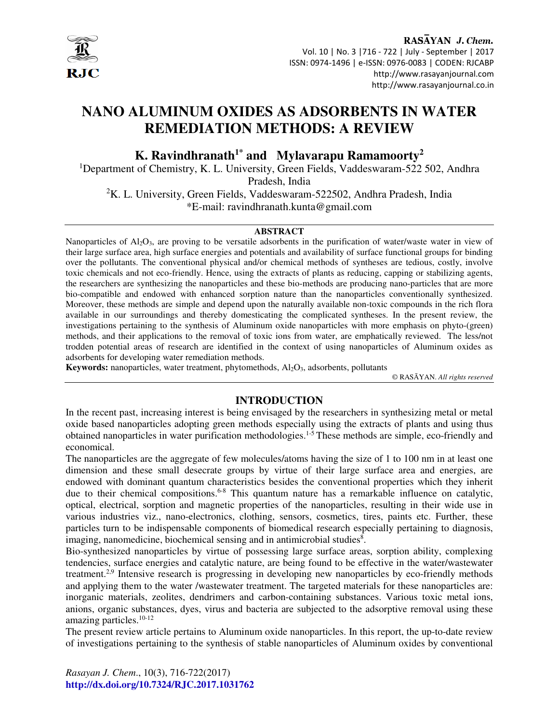

RASAYAN J. Chem. Vol. 10 | No. 3 |716 - 722 | July - September | 2017 ISSN: 0974-1496 | e-ISSN: 0976-0083 | CODEN: RJCABP http://www.rasayanjournal.com http://www.rasayanjournal.co.in

# **NANO ALUMINUM OXIDES AS ADSORBENTS IN WATER REMEDIATION METHODS: A REVIEW**

**K. Ravindhranath1\* and Mylavarapu Ramamoorty<sup>2</sup>**

<sup>1</sup>Department of Chemistry, K. L. University, Green Fields, Vaddeswaram-522 502, Andhra

Pradesh, India

 ${}^{2}$ K. L. University, Green Fields, Vaddeswaram-522502, Andhra Pradesh, India \*E-mail: ravindhranath.kunta@gmail.com

## **ABSTRACT**

Nanoparticles of  $A_1_2O_3$ , are proving to be versatile adsorbents in the purification of water/waste water in view of their large surface area, high surface energies and potentials and availability of surface functional groups for binding over the pollutants. The conventional physical and/or chemical methods of syntheses are tedious, costly, involve toxic chemicals and not eco-friendly. Hence, using the extracts of plants as reducing, capping or stabilizing agents, the researchers are synthesizing the nanoparticles and these bio-methods are producing nano-particles that are more bio-compatible and endowed with enhanced sorption nature than the nanoparticles conventionally synthesized. Moreover, these methods are simple and depend upon the naturally available non-toxic compounds in the rich flora available in our surroundings and thereby domesticating the complicated syntheses. In the present review, the investigations pertaining to the synthesis of Aluminum oxide nanoparticles with more emphasis on phyto-(green) methods, and their applications to the removal of toxic ions from water, are emphatically reviewed. The less/not trodden potential areas of research are identified in the context of using nanoparticles of Aluminum oxides as adsorbents for developing water remediation methods.

**Keywords:** nanoparticles, water treatment, phytomethods, Al<sub>2</sub>O<sub>3</sub>, adsorbents, pollutants

© RASĀYAN. *All rights reserved*

#### **INTRODUCTION**

In the recent past, increasing interest is being envisaged by the researchers in synthesizing metal or metal oxide based nanoparticles adopting green methods especially using the extracts of plants and using thus obtained nanoparticles in water purification methodologies.1-5 These methods are simple, eco-friendly and economical.

The nanoparticles are the aggregate of few molecules/atoms having the size of 1 to 100 nm in at least one dimension and these small desecrate groups by virtue of their large surface area and energies, are endowed with dominant quantum characteristics besides the conventional properties which they inherit due to their chemical compositions.<sup>6-8</sup> This quantum nature has a remarkable influence on catalytic, optical, electrical, sorption and magnetic properties of the nanoparticles, resulting in their wide use in various industries viz., nano-electronics, clothing, sensors, cosmetics, tires, paints etc. Further, these particles turn to be indispensable components of biomedical research especially pertaining to diagnosis, imaging, nanomedicine, biochemical sensing and in antimicrobial studies<sup>8</sup>.

Bio-synthesized nanoparticles by virtue of possessing large surface areas, sorption ability, complexing tendencies, surface energies and catalytic nature, are being found to be effective in the water/wastewater treatment.2,9 Intensive research is progressing in developing new nanoparticles by eco-friendly methods and applying them to the water /wastewater treatment. The targeted materials for these nanoparticles are: inorganic materials, zeolites, dendrimers and carbon-containing substances. Various toxic metal ions, anions, organic substances, dyes, virus and bacteria are subjected to the adsorptive removal using these amazing particles. $10-12$ 

The present review article pertains to Aluminum oxide nanoparticles. In this report, the up-to-date review of investigations pertaining to the synthesis of stable nanoparticles of Aluminum oxides by conventional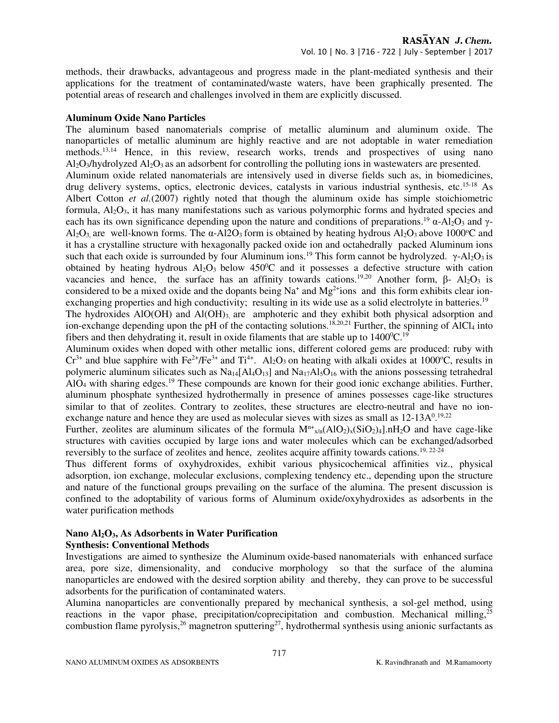methods, their drawbacks, advantageous and progress made in the plant-mediated synthesis and their applications for the treatment of contaminated/waste waters, have been graphically presented. The potential areas of research and challenges involved in them are explicitly discussed.

#### **Aluminum Oxide Nano Particles**

The aluminum based nanomaterials comprise of metallic aluminum and aluminum oxide. The nanoparticles of metallic aluminum are highly reactive and are not adoptable in water remediation methods.<sup>13,14</sup> Hence, in this review, research works, trends and prospectives of using nano  $A<sub>12</sub>O<sub>3</sub>/hydrolyzed A<sub>12</sub>O<sub>3</sub> as an adsorbent for controlling the polling ions in wastewaters are presented.$ Aluminum oxide related nanomaterials are intensively used in diverse fields such as, in biomedicines, drug delivery systems, optics, electronic devices, catalysts in various industrial synthesis, etc.15-18 As Albert Cotton *et al.*(2007) rightly noted that though the aluminum oxide has simple stoichiometric formula,  $Al_2O_3$ , it has many manifestations such as various polymorphic forms and hydrated species and each has its own significance depending upon the nature and conditions of preparations.<sup>19</sup>  $\alpha$ -Al<sub>2</sub>O<sub>3</sub> and γ- $A\ell_2O_3$  are well-known forms. The  $\alpha$ -Al2O<sub>3</sub> form is obtained by heating hydrous Al<sub>2</sub>O<sub>3</sub> above 1000<sup>o</sup>C and it has a crystalline structure with hexagonally packed oxide ion and octahedrally packed Aluminum ions such that each oxide is surrounded by four Aluminum ions.<sup>19</sup> This form cannot be hydrolyzed. γ-Al<sub>2</sub>O<sub>3</sub> is obtained by heating hydrous  $A_1O_3$  below 450<sup>o</sup>C and it possesses a defective structure with cation vacancies and hence, the surface has an affinity towards cations.<sup>19,20</sup> Another form, β- Al<sub>2</sub>O<sub>3</sub> is considered to be a mixed oxide and the dopants being  $Na<sup>+</sup>$  and  $Mg<sup>2+</sup>$ ions and this form exhibits clear ion-

exchanging properties and high conductivity; resulting in its wide use as a solid electrolyte in batteries.<sup>19</sup> The hydroxides AlO(OH) and Al(OH)<sub>3,</sub> are amphoteric and they exhibit both physical adsorption and ion-exchange depending upon the pH of the contacting solutions.<sup>18,20,21</sup> Further, the spinning of AlCl<sub>4</sub> into fibers and then dehydrating it, result in oxide filaments that are stable up to  $1400^{\circ}$ C.<sup>19</sup>

Aluminum oxides when doped with other metallic ions, different colored gems are produced: ruby with  $Cr^{3+}$  and blue sapphire with Fe<sup>2+</sup>/Fe<sup>3+</sup> and Ti<sup>4+</sup>. Al<sub>2</sub>O<sub>3</sub> on heating with alkali oxides at 1000<sup>o</sup>C, results in polymeric aluminum silicates such as  $Na<sub>14</sub>[Al<sub>4</sub>O<sub>13</sub>]$  and  $Na<sub>17</sub>Al<sub>5</sub>O<sub>16</sub>$  with the anions possessing tetrahedral  $AIO<sub>4</sub>$  with sharing edges.<sup>19</sup> These compounds are known for their good ionic exchange abilities. Further, aluminum phosphate synthesized hydrothermally in presence of amines possesses cage-like structures similar to that of zeolites. Contrary to zeolites, these structures are electro-neutral and have no ionexchange nature and hence they are used as molecular sieves with sizes as small as  $12{\text -}13\text{A}^{0.19,22}$ 

Further, zeolites are aluminum silicates of the formula  $M^{n+}_{x/n}(AIO_2)_x(SIO_2)_4]$ .nH<sub>2</sub>O and have cage-like structures with cavities occupied by large ions and water molecules which can be exchanged/adsorbed reversibly to the surface of zeolites and hence, zeolites acquire affinity towards cations.<sup>19, 22-24</sup>

Thus different forms of oxyhydroxides, exhibit various physicochemical affinities viz., physical adsorption, ion exchange, molecular exclusions, complexing tendency etc., depending upon the structure and nature of the functional groups prevailing on the surface of the alumina. The present discussion is confined to the adoptability of various forms of Aluminum oxide/oxyhydroxides as adsorbents in the water purification methods

# **Nano Al2O3, As Adsorbents in Water Purification**

**Synthesis: Conventional Methods** 

Investigations are aimed to synthesize the Aluminum oxide-based nanomaterials with enhanced surface area, pore size, dimensionality, and conducive morphology so that the surface of the alumina nanoparticles are endowed with the desired sorption ability and thereby, they can prove to be successful adsorbents for the purification of contaminated waters.

Alumina nanoparticles are conventionally prepared by mechanical synthesis, a sol-gel method, using reactions in the vapor phase, precipitation/coprecipitation and combustion. Mechanical milling, $^{25}$ combustion flame pyrolysis,<sup>26</sup> magnetron sputtering<sup>27</sup>, hydrothermal synthesis using anionic surfactants as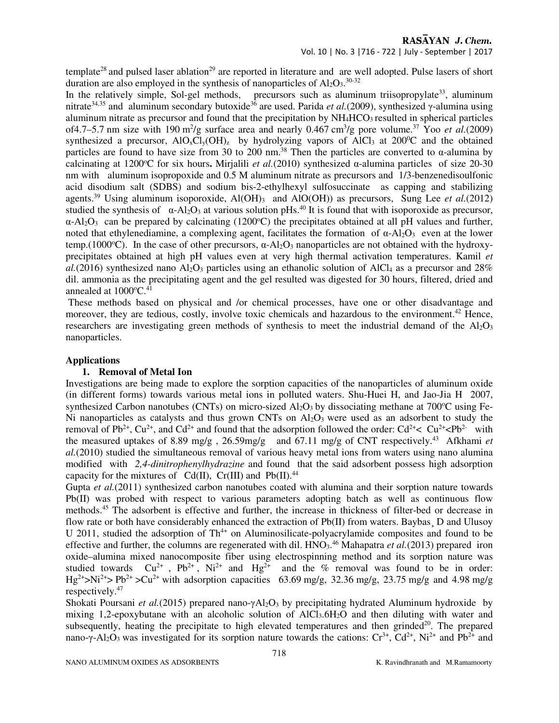RASAYAN J. Chem.

## Vol. 10 | No. 3 |716 - 722 | July - September | 2017

template<sup>28</sup> and pulsed laser ablation<sup>29</sup> are reported in literature and are well adopted. Pulse lasers of short duration are also employed in the synthesis of nanoparticles of  $Al_2O_3$ .<sup>30-32</sup>

In the relatively simple, Sol-gel methods, precursors such as aluminum triisopropylate<sup>33</sup>, aluminum nitrate<sup>34,35</sup> and aluminum secondary butoxide<sup>36</sup> are used. Parida *et al.*(2009), synthesized γ-alumina using aluminum nitrate as precursor and found that the precipitation by NH4HCO3 resulted in spherical particles of4.7–5.7 nm size with 190 m<sup>2</sup>/g surface area and nearly 0.467 cm<sup>3</sup>/g pore volume.<sup>37</sup> Yoo *et al.*(2009) synthesized a precursor,  $AIO_xCl_y(OH)_z$  by hydrolyzing vapors of  $AICI_3$  at 200<sup>0</sup>C and the obtained particles are found to have size from 30 to 200 nm.<sup>38</sup> Then the particles are converted to  $\alpha$ -alumina by calcinating at 1200°C for six hours. Mirjalili *et al.*(2010) synthesized  $\alpha$ -alumina particles of size 20-30 nm with aluminum isopropoxide and 0.5 M aluminum nitrate as precursors and 1/3-benzenedisoulfonic acid disodium salt (SDBS) and sodium bis-2-ethylhexyl sulfosuccinate as capping and stabilizing agents.<sup>39</sup> Using aluminum isoporoxide, Al(OH)<sub>3</sub> and AlO(OH)) as precursors, Sung Lee *et al.*(2012) studied the synthesis of  $\alpha$ -Al<sub>2</sub>O<sub>3</sub> at various solution pHs.<sup>40</sup> It is found that with isoporoxide as precursor,  $\alpha$ -Al<sub>2</sub>O<sub>3</sub> can be prepared by calcinating (1200<sup>o</sup>C) the precipitates obtained at all pH values and further, noted that ethylenediamine, a complexing agent, facilitates the formation of  $\alpha$ -Al<sub>2</sub>O<sub>3</sub> even at the lower temp.(1000 $^{\circ}$ C). In the case of other precursors,  $\alpha$ -Al<sub>2</sub>O<sub>3</sub> nanoparticles are not obtained with the hydroxyprecipitates obtained at high pH values even at very high thermal activation temperatures. Kamil *et*   $a$ .(2016) synthesized nano Al<sub>2</sub>O<sub>3</sub> particles using an ethanolic solution of AlCl<sub>4</sub> as a precursor and 28% dil. ammonia as the precipitating agent and the gel resulted was digested for 30 hours, filtered, dried and annealed at  $1000^{\circ}$ C.<sup>41</sup>

 These methods based on physical and /or chemical processes, have one or other disadvantage and moreover, they are tedious, costly, involve toxic chemicals and hazardous to the environment.<sup>42</sup> Hence, researchers are investigating green methods of synthesis to meet the industrial demand of the  $A_2O_3$ nanoparticles.

#### **Applications**

# **1. Removal of Metal Ion**

Investigations are being made to explore the sorption capacities of the nanoparticles of aluminum oxide (in different forms) towards various metal ions in polluted waters. Shu-Huei H, and Jao-Jia H 2007, synthesized Carbon nanotubes (CNTs) on micro-sized  $Al_2O_3$  by dissociating methane at 700 $^{\circ}$ C using Fe-Ni nanoparticles as catalysts and thus grown CNTs on  $Al_2O_3$  were used as an adsorbent to study the removal of Pb<sup>2+</sup>, Cu<sup>2+</sup>, and Cd<sup>2+</sup> and found that the adsorption followed the order: Cd<sup>2+</sup>< Cu<sup>2+</sup><Pb<sup>2</sup> with the measured uptakes of 8.89 mg/g , 26.59mg/g and 67.11 mg/g of CNT respectively.<sup>43</sup> Afkhami *et al.*(2010) studied the simultaneous removal of various heavy metal ions from waters using nano alumina modified with *2,4-dinitrophenylhydrazine* and found that the said adsorbent possess high adsorption capacity for the mixtures of  $Cd(II)$ ,  $Cr(III)$  and  $Pb(II)$ .<sup>44</sup>

Gupta *et al.*(2011) synthesized carbon nanotubes coated with alumina and their sorption nature towards  $Pb(II)$  was probed with respect to various parameters adopting batch as well as continuous flow methods.<sup>45</sup> The adsorbent is effective and further, the increase in thickness of filter-bed or decrease in flow rate or both have considerably enhanced the extraction of Pb(II) from waters. Baybas, D and Ulusoy U 2011, studied the adsorption of  $Th^{4+}$  on Aluminosilicate-polyacrylamide composites and found to be effective and further, the columns are regenerated with dil. HNO<sub>3</sub>.<sup>46</sup> Mahapatra *et al.*(2013) prepared iron oxide–alumina mixed nanocomposite fiber using electrospinning method and its sorption nature was studied towards  $Cu^{2+}$ ,  $Pb^{2+}$ ,  $Ni^{2+}$  and  $Hg^{2+}$  and the % removal was found to be in order:  $\text{Hg}^{2+}$ >Ni<sup>2+</sup>> Pb<sup>2+</sup> >Cu<sup>2+</sup> with adsorption capacities 63.69 mg/g, 32.36 mg/g, 23.75 mg/g and 4.98 mg/g respectively.<sup>47</sup>

Shokati Poursani *et al.*(2015) prepared nano-γAl<sub>2</sub>O<sub>3</sub> by precipitating hydrated Aluminum hydroxide by mixing 1,2-epoxybutane with an alcoholic solution of  $AICI<sub>3</sub>6H<sub>2</sub>O$  and then diluting with water and subsequently, heating the precipitate to high elevated temperatures and then grinded $^{20}$ . The prepared nano-γ-Al<sub>2</sub>O<sub>3</sub> was investigated for its sorption nature towards the cations: Cr<sup>3+</sup>, Cd<sup>2+</sup>, Ni<sup>2+</sup> and Pb<sup>2+</sup> and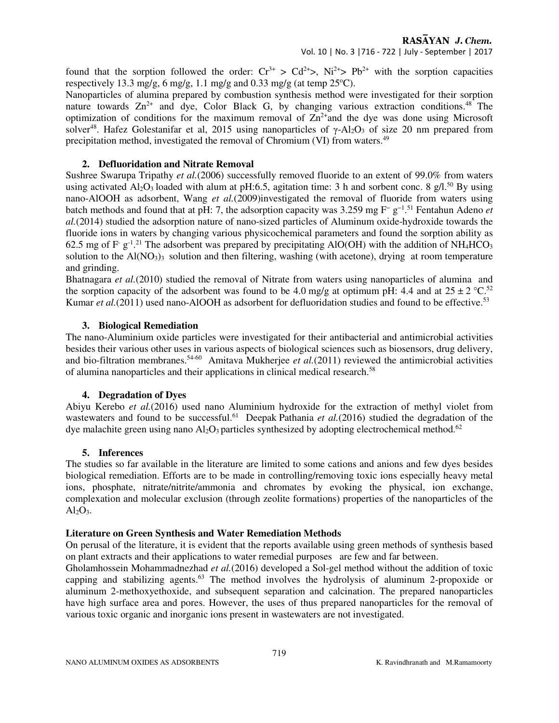RASAYAN J. Chem.

Vol. 10 | No. 3 |716 - 722 | July - September | 2017

found that the sorption followed the order:  $Cr^{3+} > Cd^{2+} > Ni^{2+} > Pb^{2+}$  with the sorption capacities respectively 13.3 mg/g, 6 mg/g, 1.1 mg/g and 0.33 mg/g (at temp  $25^{\circ}$ C).

Nanoparticles of alumina prepared by combustion synthesis method were investigated for their sorption nature towards  $Zn^{2+}$  and dye, Color Black G, by changing various extraction conditions.<sup>48</sup> The optimization of conditions for the maximum removal of  $\overline{\text{Zn}}^2$  and the dye was done using Microsoft solver<sup>48</sup>. Hafez Golestanifar et al, 2015 using nanoparticles of  $\gamma$ -Al<sub>2</sub>O<sub>3</sub> of size 20 nm prepared from precipitation method, investigated the removal of Chromium (VI) from waters.<sup>49</sup>

#### **2. Defluoridation and Nitrate Removal**

Sushree Swarupa Tripathy *et al.*(2006) successfully removed fluoride to an extent of 99.0% from waters using activated Al<sub>2</sub>O<sub>3</sub> loaded with alum at pH:6.5, agitation time: 3 h and sorbent conc. 8 g/l.<sup>50</sup> By using nano-AlOOH as adsorbent, Wang *et al.*(2009)investigated the removal of fluoride from waters using batch methods and found that at pH: 7, the adsorption capacity was 3.259 mg F<sup>−</sup> g−1 . <sup>51</sup> Fentahun Adeno *et al.*(2014) studied the adsorption nature of nano-sized particles of Aluminum oxide-hydroxide towards the fluoride ions in waters by changing various physicochemical parameters and found the sorption ability as 62.5 mg of F  $g^{-1}$ .<sup>21</sup> The adsorbent was prepared by precipitating AlO(OH) with the addition of NH<sub>4</sub>HCO<sub>3</sub> solution to the  $A(NO<sub>3</sub>)<sub>3</sub>$  solution and then filtering, washing (with acetone), drying at room temperature and grinding.

Bhatnagara *et al.*(2010) studied the removal of Nitrate from waters using nanoparticles of alumina and the sorption capacity of the adsorbent was found to be 4.0 mg/g at optimum pH: 4.4 and at  $25 \pm 2 \degree \text{C}^{52}$ Kumar *et al.*(2011) used nano-AlOOH as adsorbent for defluoridation studies and found to be effective.<sup>53</sup>

#### **3. Biological Remediation**

The nano-Aluminium oxide particles were investigated for their antibacterial and antimicrobial activities besides their various other uses in various aspects of biological sciences such as biosensors, drug delivery, and bio-filtration membranes.<sup>54-60</sup> Amitava Mukherjee *et al.*(2011) reviewed the antimicrobial activities of alumina nanoparticles and their applications in clinical medical research.<sup>58</sup>

#### **4. Degradation of Dyes**

Abiyu Kerebo *et al.*(2016) used nano Aluminium hydroxide for the extraction of methyl violet from wastewaters and found to be successful.<sup>61</sup> Deepak Pathania *et al.*(2016) studied the degradation of the dye malachite green using nano  $\text{Al}_2\text{O}_3$  particles synthesized by adopting electrochemical method.<sup>62</sup>

#### **5. Inferences**

The studies so far available in the literature are limited to some cations and anions and few dyes besides biological remediation. Efforts are to be made in controlling/removing toxic ions especially heavy metal ions, phosphate, nitrate/nitrite/ammonia and chromates by evoking the physical, ion exchange, complexation and molecular exclusion (through zeolite formations) properties of the nanoparticles of the  $Al<sub>2</sub>O<sub>3</sub>$ .

## **Literature on Green Synthesis and Water Remediation Methods**

On perusal of the literature, it is evident that the reports available using green methods of synthesis based on plant extracts and their applications to water remedial purposes are few and far between.

Gholamhossein Mohammadnezhad *et al.*(2016) developed a Sol-gel method without the addition of toxic capping and stabilizing agents.<sup>63</sup> The method involves the hydrolysis of aluminum 2-propoxide or aluminum 2-methoxyethoxide, and subsequent separation and calcination. The prepared nanoparticles have high surface area and pores. However, the uses of thus prepared nanoparticles for the removal of various toxic organic and inorganic ions present in wastewaters are not investigated.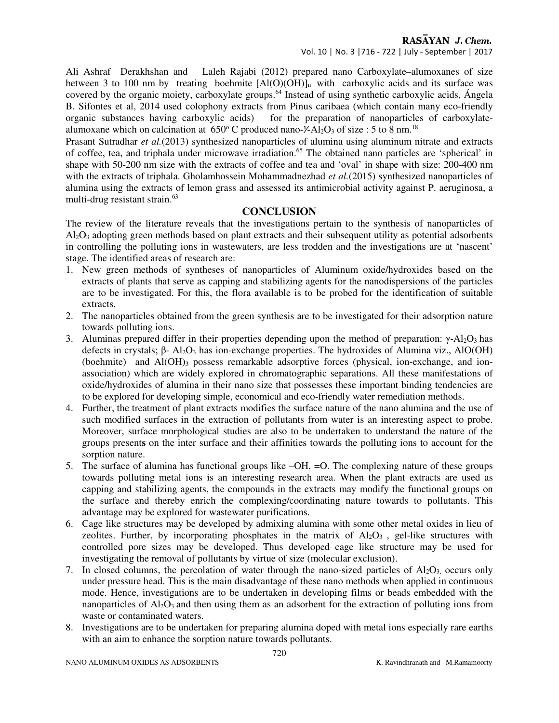Vol. 10 | No. 3 |716 - 722 | July - September | 2017

Ali Ashraf Derakhshan and Laleh Rajabi (2012) prepared nano Carboxylate–alumoxanes of size between 3 to 100 nm by treating boehmite  $[AI(O)(OH)]_n$  with carboxylic acids and its surface was covered by the organic moiety, carboxylate groups.<sup>64</sup> Instead of using synthetic carboxylic acids, Ángela B. Sifontes et al, 2014 used colophony extracts from Pinus caribaea (which contain many eco-friendly organic substances having carboxylic acids) for the preparation of nanoparticles of carboxylatealumoxane which on calcination at  $650^{\circ}$  C produced nano- $\frac{\cancel{0}^2}{120}$  of size : 5 to 8 nm.<sup>18</sup>

Prasant Sutradhar *et al.*(2013) synthesized nanoparticles of alumina using aluminum nitrate and extracts of coffee, tea, and triphala under microwave irradiation.<sup>65</sup> The obtained nano particles are 'spherical' in shape with 50-200 nm size with the extracts of coffee and tea and 'oval' in shape with size: 200-400 nm with the extracts of triphala. Gholamhossein Mohammadnezhad et al.(2015) synthesized nanoparticles of alumina using the extracts of lemon grass and assessed its antimicrobial activity against P. aeruginosa, a multi-drug resistant strain.<sup>63</sup>

# **CONCLUSION**

The review of the literature reveals that the investigations pertain to the synthesis of nanoparticles of Al2O3 adopting green methods based on plant extracts and their subsequent utility as potential adsorbents in controlling the polluting ions in wastewaters, are less trodden and the investigations are at 'nascent' stage. The identified areas of research are:

- 1. New green methods of syntheses of nanoparticles of Aluminum oxide/hydroxides based on the extracts of plants that serve as capping and stabilizing agents for the nanodispersions of the particles are to be investigated. For this, the flora available is to be probed for the identification of suitable extracts.
- 2. The nanoparticles obtained from the green synthesis are to be investigated for their adsorption nature towards polluting ions.
- 3. Aluminas prepared differ in their properties depending upon the method of preparation: γ-Al2O3 has defects in crystals;  $β$ - Al<sub>2</sub>O<sub>3</sub> has ion-exchange properties. The hydroxides of Alumina viz., AlO(OH) (boehmite) and Al(OH)3 possess remarkable adsorptive forces (physical, ion-exchange, and ionassociation) which are widely explored in chromatographic separations. All these manifestations of oxide/hydroxides of alumina in their nano size that possesses these important binding tendencies are to be explored for developing simple, economical and eco-friendly water remediation methods.
- 4. Further, the treatment of plant extracts modifies the surface nature of the nano alumina and the use of such modified surfaces in the extraction of pollutants from water is an interesting aspect to probe. Moreover, surface morphological studies are also to be undertaken to understand the nature of the groups present**s** on the inter surface and their affinities towards the polluting ions to account for the sorption nature.
- 5. The surface of alumina has functional groups like –OH, =O. The complexing nature of these groups towards polluting metal ions is an interesting research area. When the plant extracts are used as capping and stabilizing agents, the compounds in the extracts may modify the functional groups on the surface and thereby enrich the complexing/coordinating nature towards to pollutants. This advantage may be explored for wastewater purifications.
- 6. Cage like structures may be developed by admixing alumina with some other metal oxides in lieu of zeolites. Further, by incorporating phosphates in the matrix of  $A<sub>2</sub>O<sub>3</sub>$ , gel-like structures with controlled pore sizes may be developed. Thus developed cage like structure may be used for investigating the removal of pollutants by virtue of size (molecular exclusion).
- 7. In closed columns, the percolation of water through the nano-sized particles of  $A_2O_3$  occurs only under pressure head. This is the main disadvantage of these nano methods when applied in continuous mode. Hence, investigations are to be undertaken in developing films or beads embedded with the nanoparticles of  $Al_2O_3$  and then using them as an adsorbent for the extraction of polluting ions from waste or contaminated waters.
- 8. Investigations are to be undertaken for preparing alumina doped with metal ions especially rare earths with an aim to enhance the sorption nature towards pollutants.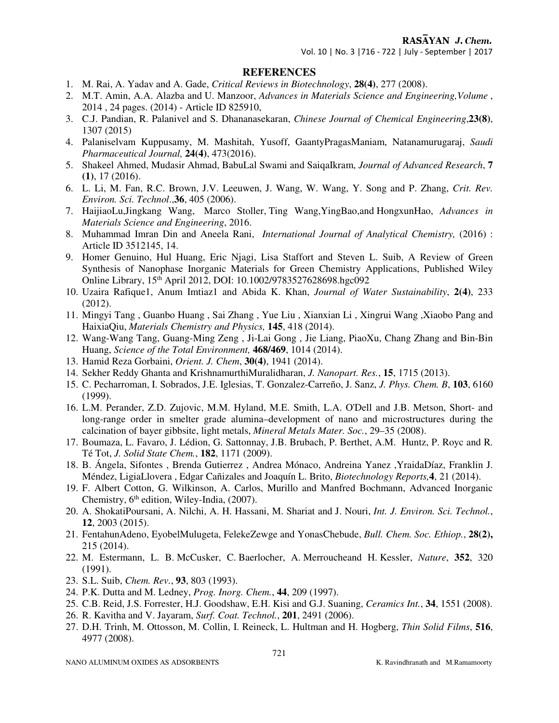Vol. 10 | No. 3 |716 - 722 | July - September | 2017

#### **REFERENCES**

- 1. M. Rai, A. Yadav and A. Gade, *Critical Reviews in Biotechnology*, **28(4)**, 277 (2008).
- 2. M.T. Amin, A.A. Alazba and U. Manzoor, *Advances in Materials Science and Engineering,Volume* , 2014 , 24 pages. (2014) - Article ID 825910,
- 3. C.J. Pandian, R. Palanivel and S. Dhananasekaran, *Chinese Journal of Chemical Engineering*,**23(8)**, 1307 (2015)
- 4. Palaniselvam Kuppusamy, M. Mashitah, Yusoff, GaantyPragasManiam, Natanamurugaraj, *Saudi Pharmaceutical Journal,* **24(4)**, 473(2016).
- 5. Shakeel Ahmed, Mudasir Ahmad, BabuLal Swami and SaiqaIkram, *Journal of Advanced Research*, **7 (1)**, 17 (2016).
- 6. L. Li, M. Fan, R.C. Brown, J.V. Leeuwen, J. Wang, W. Wang, Y. Song and P. Zhang, *Crit. Rev. Environ. Sci. Technol*.,**36**, 405 (2006).
- 7. HaijiaoLu,Jingkang Wang, Marco Stoller, Ting Wang,YingBao,and HongxunHao, *Advances in Materials Science and Engineering*, 2016.
- 8. Muhammad Imran Din and Aneela Rani, *International Journal of Analytical Chemistry,* (2016) : Article ID 3512145, 14.
- 9. Homer Genuino, Hul Huang, Eric Njagi, Lisa Staffort and Steven L. Suib, A Review of Green Synthesis of Nanophase Inorganic Materials for Green Chemistry Applications, Published Wiley Online Library, 15th April 2012, DOI: 10.1002/9783527628698.hgc092
- 10. Uzaira Rafique1, Anum Imtiaz1 and Abida K. Khan, *Journal of Water Sustainability*, **2(4)**, 233 (2012).
- 11. Mingyi Tang , Guanbo Huang , Sai Zhang , Yue Liu , Xianxian Li , Xingrui Wang ,Xiaobo Pang and HaixiaQiu, *Materials Chemistry and Physics,* **145**, 418 (2014).
- 12. Wang-Wang Tang, Guang-Ming Zeng , Ji-Lai Gong , Jie Liang, PiaoXu, Chang Zhang and Bin-Bin Huang, *Science of the Total Environment,* **468/469**, 1014 (2014).
- 13. Hamid Reza Gorbaini, *Orient. J. Chem*, **30(4)**, 1941 (2014).
- 14. Sekher Reddy Ghanta and KrishnamurthiMuralidharan, *J. Nanopart. Res.*, **15**, 1715 (2013).
- 15. C. Pecharroman, I. Sobrados, J.E. Iglesias, T. Gonzalez-Carreño, J. Sanz, *J. Phys. Chem. B*, **103**, 6160 (1999).
- 16. L.M. Perander, Z.D. Zujovic, M.M. Hyland, M.E. Smith, L.A. O'Dell and J.B. Metson, Short- and long-range order in smelter grade alumina–development of nano and microstructures during the calcination of bayer gibbsite, light metals, *Mineral Metals Mater. Soc.*, 29–35 (2008).
- 17. Boumaza, L. Favaro, J. Lédion, G. Sattonnay, J.B. Brubach, P. Berthet, A.M. Huntz, P. Royc and R. Té Tot, *J. Solid State Chem.*, **182**, 1171 (2009).
- 18. B. Ángela, Sifontes , Brenda Gutierrez , Andrea Mónaco, Andreina Yanez ,YraidaDíaz, Franklin J. Méndez, LigiaLlovera , Edgar Cañizales and Joaquín L. Brito, *Biotechnology Reports,***4**, 21 (2014).
- 19. F. Albert Cotton, G. Wilkinson, A. Carlos, Murillo and Manfred Bochmann, Advanced Inorganic Chemistry,  $6<sup>th</sup>$  edition, Wiley-India, (2007).
- 20. A. ShokatiPoursani, A. Nilchi, A. H. Hassani, M. Shariat and J. Nouri, *Int. J. Environ. Sci. Technol.*, **12**, 2003 (2015).
- 21. FentahunAdeno, EyobelMulugeta, FelekeZewge and YonasChebude, *Bull. Chem. Soc. Ethiop.*, **28(2),** 215 (2014).
- 22. M. Estermann, L. B. McCusker, C. Baerlocher, A. Merroucheand H. Kessler, *Nature*, **352**, 320 (1991).
- 23. S.L. Suib, *Chem. Rev.*, **93**, 803 (1993).
- 24. P.K. Dutta and M. Ledney, *Prog. Inorg. Chem.*, **44**, 209 (1997).
- 25. C.B. Reid, J.S. Forrester, H.J. Goodshaw, E.H. Kisi and G.J. Suaning, *Ceramics Int.*, **34**, 1551 (2008).
- 26. R. Kavitha and V. Jayaram, *Surf. Coat. Technol.*, **201**, 2491 (2006).
- 27. D.H. Trinh, M. Ottosson, M. Collin, I. Reineck, L. Hultman and H. Hogberg, *Thin Solid Films*, **516**, 4977 (2008).